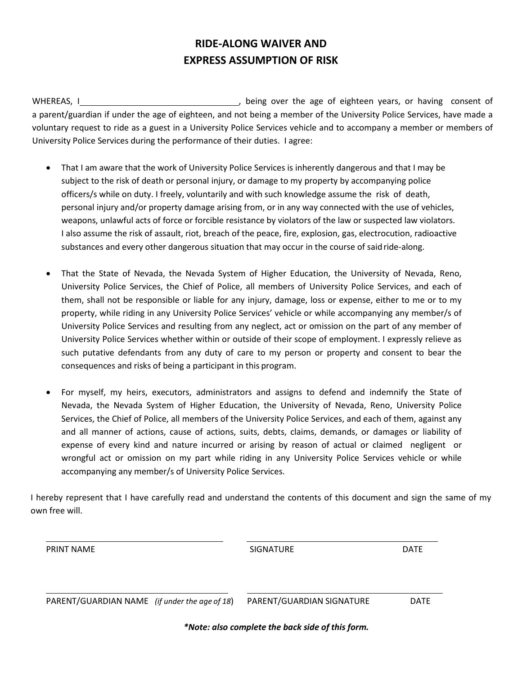## **RIDE-ALONG WAIVER AND EXPRESS ASSUMPTION OF RISK**

WHEREAS, I , being over the age of eighteen years, or having consent of a parent/guardian if under the age of eighteen, and not being a member of the University Police Services, have made a voluntary request to ride as a guest in a University Police Services vehicle and to accompany a member or members of University Police Services during the performance of their duties. I agree:

- That I am aware that the work of University Police Services is inherently dangerous and that I may be subject to the risk of death or personal injury, or damage to my property by accompanying police officers/s while on duty. I freely, voluntarily and with such knowledge assume the risk of death, personal injury and/or property damage arising from, or in any way connected with the use of vehicles, weapons, unlawful acts of force or forcible resistance by violators of the law or suspected law violators. I also assume the risk of assault, riot, breach of the peace, fire, explosion, gas, electrocution, radioactive substances and every other dangerous situation that may occur in the course of said ride-along.
- That the State of Nevada, the Nevada System of Higher Education, the University of Nevada, Reno, University Police Services, the Chief of Police, all members of University Police Services, and each of them, shall not be responsible or liable for any injury, damage, loss or expense, either to me or to my property, while riding in any University Police Services' vehicle or while accompanying any member/s of University Police Services and resulting from any neglect, act or omission on the part of any member of University Police Services whether within or outside of their scope of employment. I expressly relieve as such putative defendants from any duty of care to my person or property and consent to bear the consequences and risks of being a participant in this program.
- For myself, my heirs, executors, administrators and assigns to defend and indemnify the State of Nevada, the Nevada System of Higher Education, the University of Nevada, Reno, University Police Services, the Chief of Police, all members of the University Police Services, and each of them, against any and all manner of actions, cause of actions, suits, debts, claims, demands, or damages or liability of expense of every kind and nature incurred or arising by reason of actual or claimed negligent or wrongful act or omission on my part while riding in any University Police Services vehicle or while accompanying any member/s of University Police Services.

I hereby represent that I have carefully read and understand the contents of this document and sign the same of my own free will.

| <b>PRINT NAME</b>                             | <b>SIGNATURE</b>          | <b>DATE</b> |
|-----------------------------------------------|---------------------------|-------------|
| PARENT/GUARDIAN NAME (if under the age of 18) | PARENT/GUARDIAN SIGNATURE | <b>DATE</b> |

*\*Note: also complete the back side of this form.*